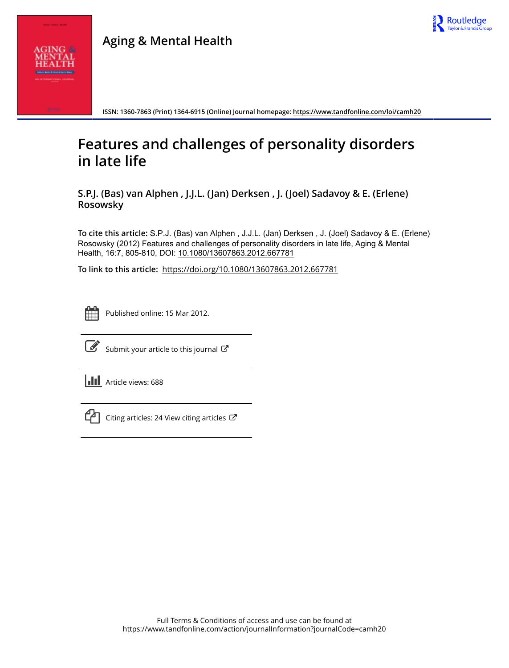



**ISSN: 1360-7863 (Print) 1364-6915 (Online) Journal homepage:<https://www.tandfonline.com/loi/camh20>**

# **Features and challenges of personality disorders in late life**

**S.P.J. (Bas) van Alphen , J.J.L. (Jan) Derksen , J. (Joel) Sadavoy & E. (Erlene) Rosowsky**

**To cite this article:** S.P.J. (Bas) van Alphen , J.J.L. (Jan) Derksen , J. (Joel) Sadavoy & E. (Erlene) Rosowsky (2012) Features and challenges of personality disorders in late life, Aging & Mental Health, 16:7, 805-810, DOI: [10.1080/13607863.2012.667781](https://www.tandfonline.com/action/showCitFormats?doi=10.1080/13607863.2012.667781)

**To link to this article:** <https://doi.org/10.1080/13607863.2012.667781>



Published online: 15 Mar 2012.



 $\overline{\mathscr{L}}$  [Submit your article to this journal](https://www.tandfonline.com/action/authorSubmission?journalCode=camh20&show=instructions)  $\mathbb{F}$ 

**Article views: 688** 



 $\Box$  [Citing articles: 24 View citing articles](https://www.tandfonline.com/doi/citedby/10.1080/13607863.2012.667781#tabModule)  $\Box$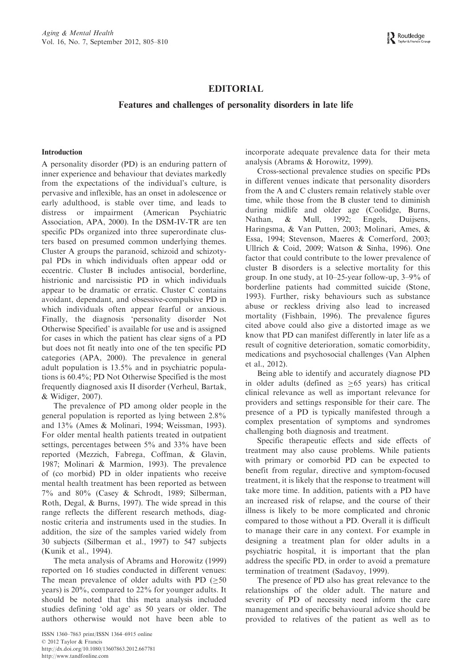## EDITORIAL

## Features and challenges of personality disorders in late life

## Introduction

A personality disorder (PD) is an enduring pattern of inner experience and behaviour that deviates markedly from the expectations of the individual's culture, is pervasive and inflexible, has an onset in adolescence or early adulthood, is stable over time, and leads to distress or impairment (American Psychiatric Association, APA, 2000). In the DSM-IV-TR are ten specific PDs organized into three superordinate clusters based on presumed common underlying themes. Cluster A groups the paranoid, schizoid and schizotypal PDs in which individuals often appear odd or eccentric. Cluster B includes antisocial, borderline, histrionic and narcissistic PD in which individuals appear to be dramatic or erratic. Cluster C contains avoidant, dependant, and obsessive-compulsive PD in which individuals often appear fearful or anxious. Finally, the diagnosis 'personality disorder Not Otherwise Specified' is available for use and is assigned for cases in which the patient has clear signs of a PD but does not fit neatly into one of the ten specific PD categories (APA, 2000). The prevalence in general adult population is 13.5% and in psychiatric populations is 60.4%; PD Not Otherwise Specified is the most frequently diagnosed axis II disorder (Verheul, Bartak, & Widiger, 2007).

The prevalence of PD among older people in the general population is reported as lying between 2.8% and 13% (Ames & Molinari, 1994; Weissman, 1993). For older mental health patients treated in outpatient settings, percentages between 5% and 33% have been reported (Mezzich, Fabrega, Coffman, & Glavin, 1987; Molinari & Marmion, 1993). The prevalence of (co morbid) PD in older inpatients who receive mental health treatment has been reported as between 7% and 80% (Casey & Schrodt, 1989; Silberman, Roth, Degal, & Burns, 1997). The wide spread in this range reflects the different research methods, diagnostic criteria and instruments used in the studies. In addition, the size of the samples varied widely from 30 subjects (Silberman et al., 1997) to 547 subjects (Kunik et al., 1994).

The meta analysis of Abrams and Horowitz (1999) reported on 16 studies conducted in different venues: The mean prevalence of older adults with PD  $(\geq 50)$ years) is 20%, compared to 22% for younger adults. It should be noted that this meta analysis included studies defining 'old age' as 50 years or older. The authors otherwise would not have been able to

incorporate adequate prevalence data for their meta analysis (Abrams & Horowitz, 1999).

Cross-sectional prevalence studies on specific PDs in different venues indicate that personality disorders from the A and C clusters remain relatively stable over time, while those from the B cluster tend to diminish during midlife and older age (Coolidge, Burns, Nathan, & Mull, 1992; Engels, Duijsens, Haringsma, & Van Putten, 2003; Molinari, Ames, & Essa, 1994; Stevenson, Maeres & Comerford, 2003; Ullrich & Coid, 2009; Watson & Sinha, 1996). One factor that could contribute to the lower prevalence of cluster B disorders is a selective mortality for this group. In one study, at 10–25-year follow-up, 3–9% of borderline patients had committed suicide (Stone, 1993). Further, risky behaviours such as substance abuse or reckless driving also lead to increased mortality (Fishbain, 1996). The prevalence figures cited above could also give a distorted image as we know that PD can manifest differently in later life as a result of cognitive deterioration, somatic comorbidity, medications and psychosocial challenges (Van Alphen et al., 2012).

Being able to identify and accurately diagnose PD in older adults (defined as  $\geq 65$  years) has critical clinical relevance as well as important relevance for providers and settings responsible for their care. The presence of a PD is typically manifested through a complex presentation of symptoms and syndromes challenging both diagnosis and treatment.

Specific therapeutic effects and side effects of treatment may also cause problems. While patients with primary or comorbid PD can be expected to benefit from regular, directive and symptom-focused treatment, it is likely that the response to treatment will take more time. In addition, patients with a PD have an increased risk of relapse, and the course of their illness is likely to be more complicated and chronic compared to those without a PD. Overall it is difficult to manage their care in any context. For example in designing a treatment plan for older adults in a psychiatric hospital, it is important that the plan address the specific PD, in order to avoid a premature termination of treatment (Sadavoy, 1999).

The presence of PD also has great relevance to the relationships of the older adult. The nature and severity of PD of necessity need inform the care management and specific behavioural advice should be provided to relatives of the patient as well as to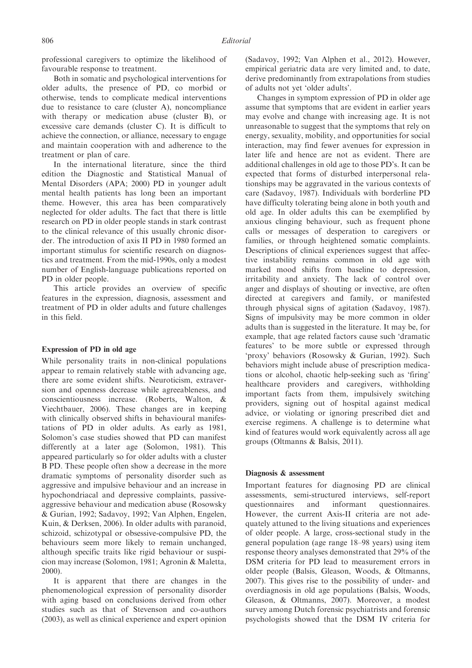professional caregivers to optimize the likelihood of favourable response to treatment.

Both in somatic and psychological interventions for older adults, the presence of PD, co morbid or otherwise, tends to complicate medical interventions due to resistance to care (cluster A), noncompliance with therapy or medication abuse (cluster B), or excessive care demands (cluster C). It is difficult to achieve the connection, or alliance, necessary to engage and maintain cooperation with and adherence to the treatment or plan of care.

In the international literature, since the third edition the Diagnostic and Statistical Manual of Mental Disorders (APA; 2000) PD in younger adult mental health patients has long been an important theme. However, this area has been comparatively neglected for older adults. The fact that there is little research on PD in older people stands in stark contrast to the clinical relevance of this usually chronic disorder. The introduction of axis II PD in 1980 formed an important stimulus for scientific research on diagnostics and treatment. From the mid-1990s, only a modest number of English-language publications reported on PD in older people.

This article provides an overview of specific features in the expression, diagnosis, assessment and treatment of PD in older adults and future challenges in this field.

### Expression of PD in old age

While personality traits in non-clinical populations appear to remain relatively stable with advancing age, there are some evident shifts. Neuroticism, extraversion and openness decrease while agreeableness, and conscientiousness increase. (Roberts, Walton, & Viechtbauer, 2006). These changes are in keeping with clinically observed shifts in behavioural manifestations of PD in older adults. As early as 1981, Solomon's case studies showed that PD can manifest differently at a later age (Solomon, 1981). This appeared particularly so for older adults with a cluster B PD. These people often show a decrease in the more dramatic symptoms of personality disorder such as aggressive and impulsive behaviour and an increase in hypochondriacal and depressive complaints, passiveaggressive behaviour and medication abuse (Rosowsky & Gurian, 1992; Sadavoy, 1992; Van Alphen, Engelen, Kuin, & Derksen, 2006). In older adults with paranoid, schizoid, schizotypal or obsessive-compulsive PD, the behaviours seem more likely to remain unchanged, although specific traits like rigid behaviour or suspicion may increase (Solomon, 1981; Agronin & Maletta, 2000).

It is apparent that there are changes in the phenomenological expression of personality disorder with aging based on conclusions derived from other studies such as that of Stevenson and co-authors (2003), as well as clinical experience and expert opinion

(Sadavoy, 1992; Van Alphen et al., 2012). However, empirical geriatric data are very limited and, to date, derive predominantly from extrapolations from studies of adults not yet 'older adults'.

Changes in symptom expression of PD in older age assume that symptoms that are evident in earlier years may evolve and change with increasing age. It is not unreasonable to suggest that the symptoms that rely on energy, sexuality, mobility, and opportunities for social interaction, may find fewer avenues for expression in later life and hence are not as evident. There are additional challenges in old age to those PD's. It can be expected that forms of disturbed interpersonal relationships may be aggravated in the various contexts of care (Sadavoy, 1987). Individuals with borderline PD have difficulty tolerating being alone in both youth and old age. In older adults this can be exemplified by anxious clinging behaviour, such as frequent phone calls or messages of desperation to caregivers or families, or through heightened somatic complaints. Descriptions of clinical experiences suggest that affective instability remains common in old age with marked mood shifts from baseline to depression, irritability and anxiety. The lack of control over anger and displays of shouting or invective, are often directed at caregivers and family, or manifested through physical signs of agitation (Sadavoy, 1987). Signs of impulsivity may be more common in older adults than is suggested in the literature. It may be, for example, that age related factors cause such 'dramatic features' to be more subtle or expressed through 'proxy' behaviors (Rosowsky & Gurian, 1992). Such behaviors might include abuse of prescription medications or alcohol, chaotic help-seeking such as 'firing' healthcare providers and caregivers, withholding important facts from them, impulsively switching providers, signing out of hospital against medical advice, or violating or ignoring prescribed diet and exercise regimens. A challenge is to determine what kind of features would work equivalently across all age groups (Oltmanns & Balsis, 2011).

#### Diagnosis & assessment

Important features for diagnosing PD are clinical assessments, semi-structured interviews, self-report questionnaires and informant questionnaires. However, the current Axis-II criteria are not adequately attuned to the living situations and experiences of older people. A large, cross-sectional study in the general population (age range 18–98 years) using item response theory analyses demonstrated that 29% of the DSM criteria for PD lead to measurement errors in older people (Balsis, Gleason, Woods, & Oltmanns, 2007). This gives rise to the possibility of under- and overdiagnosis in old age populations (Balsis, Woods, Gleason, & Oltmanns, 2007). Moreover, a modest survey among Dutch forensic psychiatrists and forensic psychologists showed that the DSM IV criteria for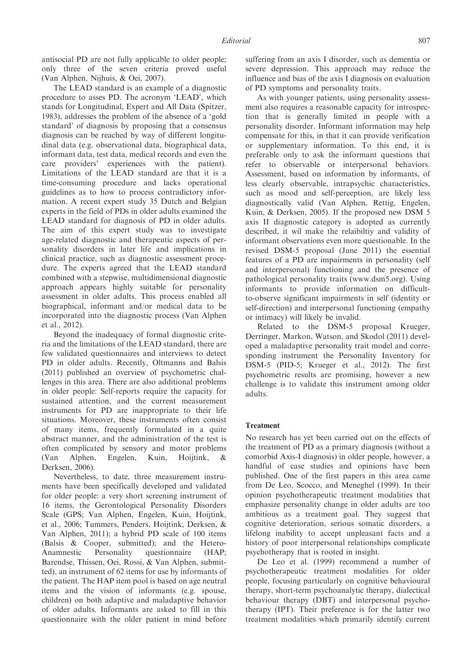antisocial PD are not fully applicable to older people; only three of the seven criteria proved useful (Van Alphen, Nijhuis, & Oei, 2007).

The LEAD standard is an example of a diagnostic procedure to asses PD. The acronym 'LEAD', which stands for Longitudinal, Expert and All Data (Spitzer, 1983), addresses the problem of the absence of a 'gold standard' of diagnosis by proposing that a consensus diagnosis can be reached by way of different longitudinal data (e.g. observational data, biographical data, informant data, test data, medical records and even the care providers' experiences with the patient). Limitations of the LEAD standard are that it is a time-consuming procedure and lacks operational guidelines as to how to process contradictory information. A recent expert study 35 Dutch and Belgian experts in the field of PDs in older adults examined the LEAD standard for diagnosis of PD in older adults. The aim of this expert study was to investigate age-related diagnostic and therapeutic aspects of personality disorders in later life and implications in clinical practice, such as diagnostic assessment procedure. The experts agreed that the LEAD standard combined with a stepwise, multidimensional diagnostic approach appears highly suitable for personality assessment in older adults. This process enabled all biographical, informant and/or medical data to be incorporated into the diagnostic process (Van Alphen et al., 2012).

Beyond the inadequacy of formal diagnostic criteria and the limitations of the LEAD standard, there are few validated questionnaires and interviews to detect PD in older adults. Recently, Oltmanns and Balsis (2011) published an overview of psychometric challenges in this area. There are also additional problems in older people: Self-reports require the capacity for sustained attention, and the current measurement instruments for PD are inappropriate to their life situations. Moreover, these instruments often consist of many items, frequently formulated in a quite abstract manner, and the administration of the test is often complicated by sensory and motor problems (Van Alphen, Engelen, Kuin, Hoijtink, & Derksen, 2006).

Nevertheless, to date, three measurement instruments have been specifically developed and validated for older people: a very short screening instrument of 16 items, the Gerontological Personality Disorders Scale (GPS; Van Alphen, Engelen, Kuin, Hoijtink, et al., 2006; Tummers, Penders, Hoijtink, Derksen, & Van Alphen, 2011); a hybrid PD scale of 100 items (Balsis & Cooper, submitted); and the Hetero-Anamnestic Personality questionnaire (HAP; Barendse, Thissen, Oei, Rossi, & Van Alphen, submitted), an instrument of 62 items for use by informants of the patient. The HAP item pool is based on age neutral items and the vision of informants (e.g. spouse, children) on both adaptive and maladaptive behavior of older adults. Informants are asked to fill in this questionnaire with the older patient in mind before

suffering from an axis I disorder, such as dementia or severe depression. This approach may reduce the influence and bias of the axis I diagnosis on evaluation of PD symptoms and personality traits.

As with younger patients, using personality assessment also requires a reasonable capacity for introspection that is generally limited in people with a personality disorder. Informant information may help compensate for this, in that it can provide verification or supplementary information. To this end, it is preferable only to ask the informant questions that refer to observable or interpersonal behaviors. Assessment, based on information by informants, of less clearly observable, intrapsychic characteristics, such as mood and self-perception, are likely less diagnostically valid (Van Alphen, Rettig, Engelen, Kuin, & Derksen, 2005). If the proposed new DSM 5 axis II diagnostic category is adopted as currently described, it wil make the relaibiltiy and validity of informant observations even more questionable. In the revised DSM-5 proposal (June 2011) the essential features of a PD are impairments in personality (self and interpersonal) functioning and the presence of pathological personality traits (www.dsm5.org). Using informants to provide information on difficultto-observe significant impairments in self (identity or self-direction) and interpersonal functioning (empathy or intimacy) will likely be invalid.

Related to the DSM-5 proposal Krueger, Derringer, Markon, Watson, and Skodol (2011) developed a maladaptive personality trait model and corresponding instrument the Personality Inventory for DSM-5 (PID-5; Krueger et al., 2012). The first psychometric results are promising, however a new challenge is to validate this instrument among older adults.

#### Treatment

No research has yet been carried out on the effects of the treatment of PD as a primary diagnosis (without a comorbid Axis-I diagnosis) in older people, however, a handful of case studies and opinions have been published. One of the first papers in this area came from De Leo, Scocco, and Meneghel (1999). In their opinion psychotherapeutic treatment modalities that emphasize personality change in older adults are too ambitious as a treatment goal. They suggest that cognitive deterioration, serious somatic disorders, a lifelong inability to accept unpleasant facts and a history of poor interpersonal relationships complicate psychotherapy that is rooted in insight.

De Leo et al. (1999) recommend a number of psychotherapeutic treatment modalities for older people, focusing particularly on cognitive behavioural therapy, short-term psychoanalytic therapy, dialectical behaviour therapy (DBT) and interpersonal psychotherapy (IPT). Their preference is for the latter two treatment modalities which primarily identify current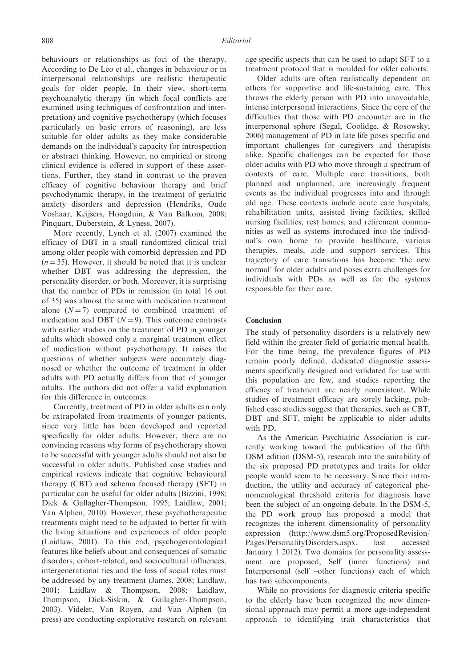behaviours or relationships as foci of the therapy. According to De Leo et al., changes in behaviour or in interpersonal relationships are realistic therapeutic goals for older people. In their view, short-term psychoanalytic therapy (in which focal conflicts are examined using techniques of confrontation and interpretation) and cognitive psychotherapy (which focuses particularly on basic errors of reasoning), are less suitable for older adults as they make considerable demands on the individual's capacity for introspection or abstract thinking. However, no empirical or strong clinical evidence is offered in support of these assertions. Further, they stand in contrast to the proven efficacy of cognitive behaviour therapy and brief psychodynamic therapy, in the treatment of geriatric anxiety disorders and depression (Hendriks, Oude Voshaar, Keijsers, Hoogduin, & Van Balkom, 2008; Pinquart, Duberstein, & Lyness, 2007).

More recently, Lynch et al. (2007) examined the efficacy of DBT in a small randomized clinical trial among older people with comorbid depression and PD  $(n = 35)$ . However, it should be noted that it is unclear whether DBT was addressing the depression, the personality disorder, or both. Moreover, it is surprising that the number of PDs in remission (in total 16 out of 35) was almost the same with medication treatment alone  $(N = 7)$  compared to combined treatment of medication and DBT ( $N = 9$ ). This outcome contrasts with earlier studies on the treatment of PD in younger adults which showed only a marginal treatment effect of medication without psychotherapy. It raises the questions of whether subjects were accurately diagnosed or whether the outcome of treatment in older adults with PD actually differs from that of younger adults. The authors did not offer a valid explanation for this difference in outcomes.

Currently, treatment of PD in older adults can only be extrapolated from treatments of younger patients, since very little has been developed and reported specifically for older adults. However, there are no convincing reasons why forms of psychotherapy shown to be successful with younger adults should not also be successful in older adults. Published case studies and empirical reviews indicate that cognitive behavioural therapy (CBT) and schema focused therapy (SFT) in particular can be useful for older adults (Bizzini, 1998; Dick & Gallagher-Thompson, 1995; Laidlaw, 2001; Van Alphen, 2010). However, these psychotherapeutic treatments might need to be adjusted to better fit with the living situations and experiences of older people (Laidlaw, 2001). To this end, psychogerontological features like beliefs about and consequences of somatic disorders, cohort-related, and sociocultural influences, intergenerational ties and the loss of social roles must be addressed by any treatment (James, 2008; Laidlaw, 2001; Laidlaw & Thompson, 2008; Laidlaw, Thompson, Dick-Siskin, & Gallagher-Thompson, 2003). Videler, Van Royen, and Van Alphen (in press) are conducting explorative research on relevant

age specific aspects that can be used to adapt SFT to a treatment protocol that is moulded for older cohorts.

Older adults are often realistically dependent on others for supportive and life-sustaining care. This throws the elderly person with PD into unavoidable, intense interpersonal interactions. Since the core of the difficulties that those with PD encounter are in the interpersonal sphere (Segal, Coolidge, & Rosowsky, 2006) management of PD in late life poses specific and important challenges for caregivers and therapists alike. Specific challenges can be expected for those older adults with PD who move through a spectrum of contexts of care. Multiple care transitions, both planned and unplanned, are increasingly frequent events as the individual progresses into and through old age. These contexts include acute care hospitals, rehabilitation units, assisted living facilities, skilled nursing facilities, rest homes, and retirement communities as well as systems introduced into the individual's own home to provide healthcare, various therapies, meals, aide and support services. This trajectory of care transitions has become 'the new normal' for older adults and poses extra challenges for individuals with PDs as well as for the systems responsible for their care.

### Conclusion

The study of personality disorders is a relatively new field within the greater field of geriatric mental health. For the time being, the prevalence figures of PD remain poorly defined, dedicated diagnostic assessments specifically designed and validated for use with this population are few, and studies reporting the efficacy of treatment are nearly nonexistent. While studies of treatment efficacy are sorely lacking, published case studies suggest that therapies, such as CBT, DBT and SFT, might be applicable to older adults with PD.

As the American Psychiatric Association is currently working toward the publication of the fifth DSM edition (DSM-5), research into the suitability of the six proposed PD prototypes and traits for older people would seem to be necessary. Since their introduction, the utility and accuracy of categorical phenomenological threshold criteria for diagnosis have been the subject of an ongoing debate. In the DSM-5, the PD work group has proposed a model that recognizes the inherent dimensionality of personality expression (http://www.dsm5.org/ProposedRevision/ Pages/PersonalityDisorders.aspx. last accessed January 1 2012). Two domains for personality assessment are proposed, Self (inner functions) and Interpersonal (self –other functions) each of which has two subcomponents.

While no provisions for diagnostic criteria specific to the elderly have been recognized the new dimensional approach may permit a more age-independent approach to identifying trait characteristics that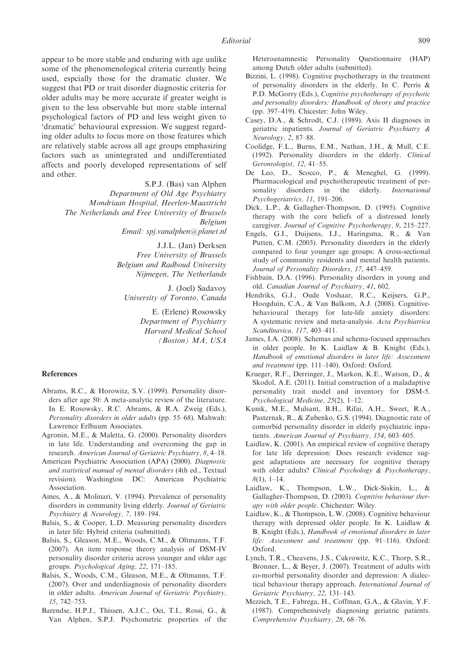appear to be more stable and enduring with age unlike some of the phenomenological criteria currently being used, espcially those for the dramatic cluster. We suggest that PD or trait disorder diagnostic criteria for older adults may be more accurate if greater weight is given to the less observable but more stable internal psychological factors of PD and less weight given to 'dramatic' behavioural expression. We suggest regarding older adults to focus more on those features which are relatively stable across all age groups emphasizing factors such as unintegrated and undifferentiated affects and poorly developed representations of self and other.

> S.P.J. (Bas) van Alphen Department of Old Age Psychiatry Mondriaan Hospital, Heerlen-Maastricht The Netherlands and Free University of Brussels Belgium Email: spj.vanalphen@planet.nl

> > J.J.L. (Jan) Derksen Free University of Brussels Belgium and Radboud University Nijmegen, The Netherlands

J. (Joel) Sadavoy University of Toronto, Canada

> E. (Erlene) Rosowsky Department of Psychiatry Harvard Medical School (Boston) MA, USA

#### References

- Abrams, R.C., & Horowitz, S.V. (1999). Personality disorders after age 50: A meta-analytic review of the literature. In E. Rosowsky, R.C. Abrams, & R.A. Zweig (Eds.), Personality disorders in older adults (pp. 55–68). Mahwah: Lawrence Erlbaum Associates.
- Agronin, M.E., & Maletta, G. (2000). Personality disorders in late life. Understanding and overcoming the gap in research. American Journal of Geriatric Psychiatry, 8, 4–18.
- American Psychiatric Association (APA) (2000). Diagnostic and statistical manual of mental disorders (4th ed., Textual revision). Washington DC: American Psychiatric Association.
- Ames, A., & Molinari, V. (1994). Prevalence of personality disorders in community living elderly. Journal of Geriatric Psychiatry & Neurology, 7, 189–194.
- Balsis, S., & Cooper, L.D. Measuring personality disorders in later life: Hybrid criteria (submitted).
- Balsis, S., Gleason, M.E., Woods, C.M., & Oltmanns, T.F. (2007). An item response theory analysis of DSM-IV personality disorder criteria across younger and older age groups. Psychological Aging, 22, 171–185.
- Balsis, S., Woods, C.M., Gleason, M.E., & Oltmanns, T.F. (2007). Over and underdiagnosis of personality disorders in older adults. American Journal of Geriatric Psychiatry, 15, 742–753.
- Barendse, H.P.J., Thissen, A.J.C., Oei, T.I., Rossi, G., & Van Alphen, S.P.J. Psychometric properties of the

Heteroanamnestic Personality Questionnaire (HAP) among Dutch older adults (submitted).

- Bizzini, L. (1998). Cognitive psychotherapy in the treatment of personality disorders in the elderly. In C. Perris & P.D. McGorry (Eds.), Cognitive psychotherapy of psychotic and personality disorders: Handbook of theory and practice (pp. 397–419). Chicester: John Wiley.
- Casey, D.A., & Schrodt, C.J. (1989). Axis II diagnoses in geriatric inpatients. Journal of Geriatric Psychiatry & Neurology, 2, 87–88.
- Coolidge, F.L., Burns, E.M., Nathan, J.H., & Mull, C.E. (1992). Personality disorders in the elderly. Clinical Gerontologist, 12, 41–55.
- De Leo, D., Scocco, P., & Meneghel, G. (1999). Pharmacological and psychotherapeutic treatment of personality disorders in the elderly. International Psychogeriatrics, 11, 191–206.
- Dick, L.P., & Gallagher-Thompson, D. (1995). Cognitive therapy with the core beliefs of a distressed lonely caregiver. Journal of Cognitive Psychotherapy, 9, 215–227.
- Engels, G.I., Duijsens, I.J., Haringsma, R., & Van Putten, C.M. (2003). Personality disorders in the elderly compared to four younger age groups: A cross-sectional study of community residents and mental health patients. Journal of Personality Disorders, 17, 447–459.
- Fishbain, D.A. (1996). Personality disorders in young and old. Canadian Journal of Psychiatry, 41, 602.
- Hendriks, G.J., Oude Voshaar, R.C., Keijsers, G.P., Hoogduin, C.A., & Van Balkom, A.J. (2008). Cognitivebehavioural therapy for late-life anxiety disorders: A systematic review and meta-analysis. Acta Psychiatrica Scandinavica, 117, 403–411.
- James, I.A. (2008). Schemas and schema-focused approaches in older people. In K. Laidlaw & B. Knight (Eds.), Handbook of emotional disorders in later life: Assessment and treatment (pp. 111–140). Oxford: Oxford.
- Krueger, R.F., Derringer, J., Markon, K.E., Watson, D., & Skodol, A.E. (2011). Initial construction of a maladaptive personality trait model and inventory for DSM-5. Psychological Medicine, 25(2), 1–12.
- Kunik, M.E., Mulsant, B.H., Rifai, A.H., Sweet, R.A., Pasternak, R., & Zubenko, G.S. (1994). Diagnostic rate of comorbid personality disorder in elderly psychiatric inpatients. American Journal of Psychiatry, 154, 603–605.
- Laidlaw, K. (2001). An empirical review of cognitive therapy for late life depression: Does research evidence suggest adaptations are necessary for cognitive therapy with older adults? Clinical Psychology & Psychotherapy,  $8(1), 1-14.$
- Laidlaw, K., Thompson, L.W., Dick-Siskin, L., & Gallagher-Thompson, D. (2003). Cognitive behaviour therapy with older people. Chichester: Wiley.
- Laidlaw, K., & Thompson, L.W. (2008). Cognitive behaviour therapy with depressed older people. In K. Laidlaw & B. Knight (Eds.), Handbook of emotional disorders in later life: Assessment and treatment (pp. 91–116). Oxford: Oxford.
- Lynch, T.R., Cheavens, J.S., Cukrowitz, K.C., Thorp, S.R., Bronner, L., & Beyer, J. (2007). Treatment of adults with co-morbid personality disorder and depression: A dialectical behaviour therapy approach. International Journal of Geriatric Psychiatry, 22, 131–143.
- Mezzich, T.E., Fabrega, H., Coffman, G.A., & Glavin, Y.F. (1987). Comprehensively diagnosing geriatric patients. Comprehensive Psychiatry, 28, 68–76.